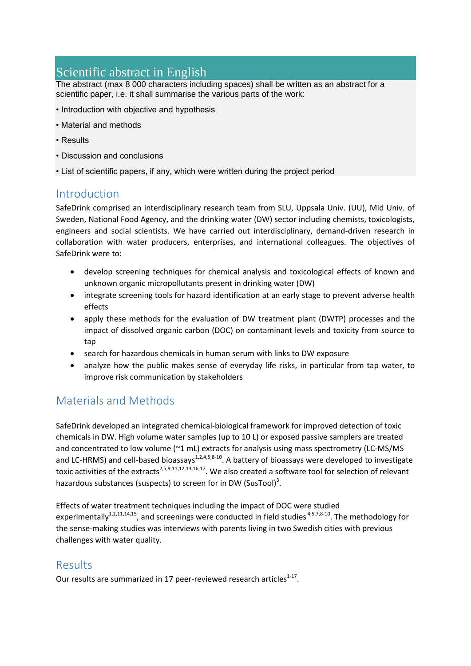# Scientific abstract in English

The abstract (max 8 000 characters including spaces) shall be written as an abstract for a scientific paper, i.e. it shall summarise the various parts of the work:

- Introduction with objective and hypothesis
- Material and methods
- Results
- Discussion and conclusions
- List of scientific papers, if any, which were written during the project period

#### Introduction

SafeDrink comprised an interdisciplinary research team from SLU, Uppsala Univ. (UU), Mid Univ. of Sweden, National Food Agency, and the drinking water (DW) sector including chemists, toxicologists, engineers and social scientists. We have carried out interdisciplinary, demand-driven research in collaboration with water producers, enterprises, and international colleagues. The objectives of SafeDrink were to:

- develop screening techniques for chemical analysis and toxicological effects of known and unknown organic micropollutants present in drinking water (DW)
- integrate screening tools for hazard identification at an early stage to prevent adverse health effects
- apply these methods for the evaluation of DW treatment plant (DWTP) processes and the impact of dissolved organic carbon (DOC) on contaminant levels and toxicity from source to tap
- search for hazardous chemicals in human serum with links to DW exposure
- analyze how the public makes sense of everyday life risks, in particular from tap water, to improve risk communication by stakeholders

### Materials and Methods

SafeDrink developed an integrated chemical-biological framework for improved detection of toxic chemicals in DW. High volume water samples (up to 10 L) or exposed passive samplers are treated and concentrated to low volume (~1 mL) extracts for analysis using mass spectrometry (LC-MS/MS and LC-HRMS) and cell-based bioassays<sup>1,2,4,5,8-10</sup>. A battery of bioassays were developed to investigate toxic activities of the extracts<sup>2,5,9,11,12,13,16,17</sup>. We also created a software tool for selection of relevant hazardous substances (suspects) to screen for in DW (SusTool)<sup>3</sup>.

Effects of water treatment techniques including the impact of DOC were studied experimentally<sup>1,2,11,14,15</sup>, and screenings were conducted in field studies  $4,5,7,8-10$ . The methodology for the sense-making studies was interviews with parents living in two Swedish cities with previous challenges with water quality.

### **Results**

Our results are summarized in 17 peer-reviewed research articles $^{1-17}$ .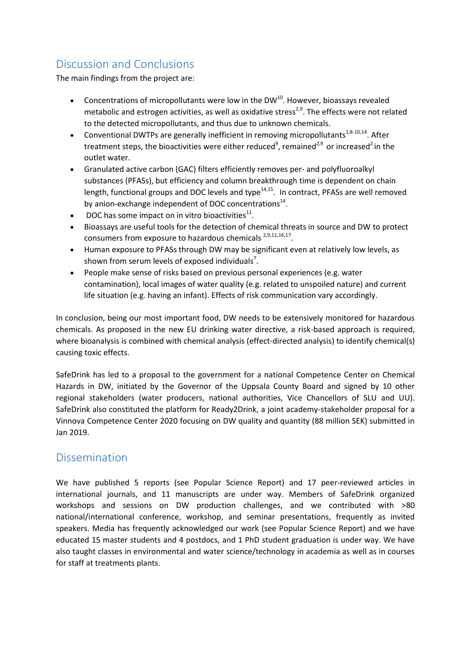## Discussion and Conclusions

The main findings from the project are:

- Concentrations of micropollutants were low in the DW<sup>10</sup>. However, bioassays revealed metabolic and estrogen activities, as well as oxidative stress<sup>2,9</sup>. The effects were not related to the detected micropollutants, and thus due to unknown chemicals.
- Conventional DWTPs are generally inefficient in removing micropollutants $1,8-10,14$ . After treatment steps, the bioactivities were either reduced<sup>9</sup>, remained<sup>2,9</sup> or increased<sup>2</sup> in the outlet water.
- Granulated active carbon (GAC) filters efficiently removes per- and polyfluoroalkyl substances (PFASs), but efficiency and column breakthrough time is dependent on chain length, functional groups and DOC levels and type<sup>14,15</sup>. In contract, PFASs are well removed by anion-exchange independent of DOC concentrations<sup>14</sup>.
- DOC has some impact on in vitro bioactivities $^{11}$ .
- Bioassays are useful tools for the detection of chemical threats in source and DW to protect consumers from exposure to hazardous chemicals <sup>2,9,11,16,17</sup>.
- Human exposure to PFASs through DW may be significant even at relatively low levels, as shown from serum levels of exposed individuals<sup>7</sup>.
- People make sense of risks based on previous personal experiences (e.g. water contamination), local images of water quality (e.g. related to unspoiled nature) and current life situation (e.g. having an infant). Effects of risk communication vary accordingly.

In conclusion, being our most important food, DW needs to be extensively monitored for hazardous chemicals. As proposed in the new EU drinking water directive, a risk-based approach is required, where bioanalysis is combined with chemical analysis (effect-directed analysis) to identify chemical(s) causing toxic effects.

SafeDrink has led to a proposal to the government for a national Competence Center on Chemical Hazards in DW, initiated by the Governor of the Uppsala County Board and signed by 10 other regional stakeholders (water producers, national authorities, Vice Chancellors of SLU and UU). SafeDrink also constituted the platform for Ready2Drink, a joint academy-stakeholder proposal for a Vinnova Competence Center 2020 focusing on DW quality and quantity (88 million SEK) submitted in Jan 2019.

### Dissemination

We have published 5 reports (see Popular Science Report) and 17 peer-reviewed articles in international journals, and 11 manuscripts are under way. Members of SafeDrink organized workshops and sessions on DW production challenges, and we contributed with >80 national/international conference, workshop, and seminar presentations, frequently as invited speakers. Media has frequently acknowledged our work (see Popular Science Report) and we have educated 15 master students and 4 postdocs, and 1 PhD student graduation is under way. We have also taught classes in environmental and water science/technology in academia as well as in courses for staff at treatments plants.